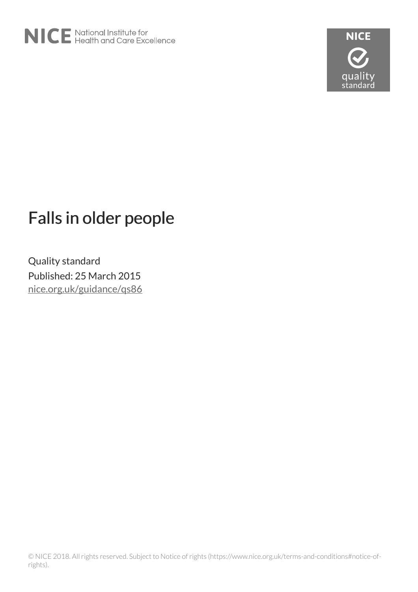



# Falls in older people

Quality standard Published: 25 March 2015 [nice.org.uk/guidance/qs86](http://nice.org.uk/guidance/qs86)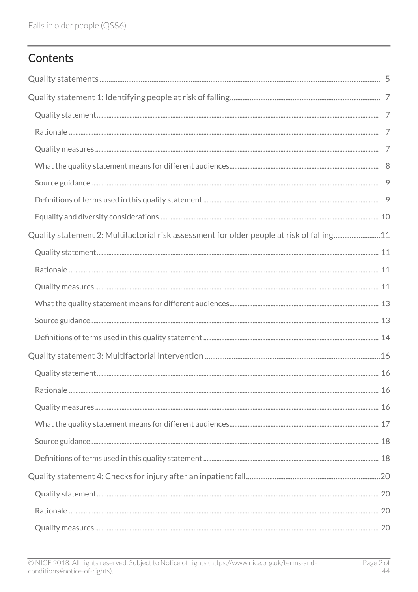# Contents

| Quality statement 2: Multifactorial risk assessment for older people at risk of falling11 |  |
|-------------------------------------------------------------------------------------------|--|
|                                                                                           |  |
|                                                                                           |  |
|                                                                                           |  |
|                                                                                           |  |
|                                                                                           |  |
|                                                                                           |  |
|                                                                                           |  |
|                                                                                           |  |
|                                                                                           |  |
|                                                                                           |  |
|                                                                                           |  |
|                                                                                           |  |
|                                                                                           |  |
|                                                                                           |  |
|                                                                                           |  |
|                                                                                           |  |
|                                                                                           |  |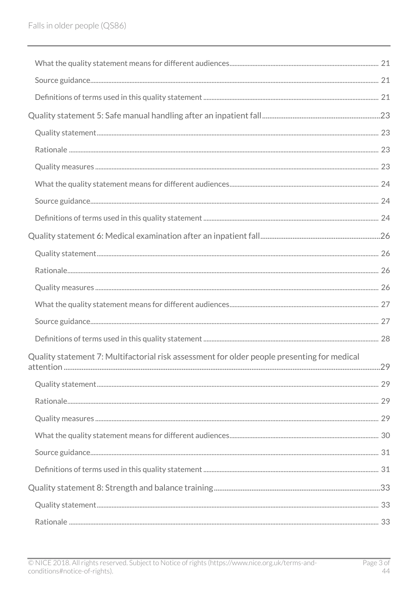| Quality statement 7: Multifactorial risk assessment for older people presenting for medical<br>attention |  |
|----------------------------------------------------------------------------------------------------------|--|
|                                                                                                          |  |
|                                                                                                          |  |
|                                                                                                          |  |
|                                                                                                          |  |
|                                                                                                          |  |
|                                                                                                          |  |
|                                                                                                          |  |
|                                                                                                          |  |
|                                                                                                          |  |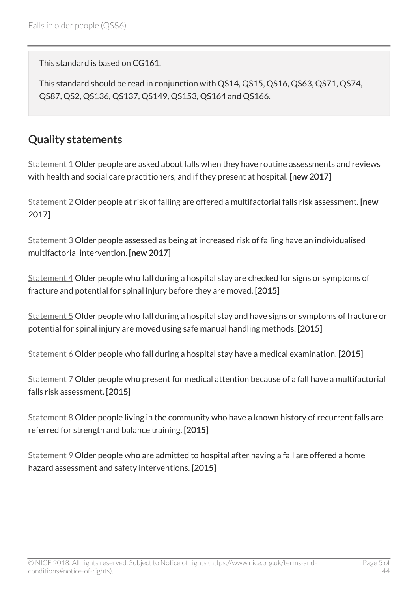This standard is based on CG161.

This standard should be read in conjunction with QS14, QS15, QS16, QS63, QS71, QS74, QS87, QS2, QS136, QS137, QS149, QS153, QS164 and QS166.

# <span id="page-4-0"></span>Quality statements

[Statement 1](http://live-publications.nice.org.uk/quality-statement-1-identifying-people-at-risk-of-falling#quality-statement-1-identifying-people-at-risk-of-falling) Older people are asked about falls when they have routine assessments and reviews with health and social care practitioners, and if they present at hospital. [new 2017]

[Statement 2](http://live-publications.nice.org.uk/quality-statement-2-multifactorial-risk-assessment-for-older-people-at-risk-of-falling#quality-statement-2-multifactorial-risk-assessment-for-older-people-at-risk-of-falling) Older people at risk of falling are offered a multifactorial falls risk assessment. [new 2017]

[Statement 3](http://live-publications.nice.org.uk/quality-statement-3-multifactorial-intervention#quality-statement-3-multifactorial-intervention) Older people assessed as being at increased risk of falling have an individualised multifactorial intervention. [new 2017]

[Statement 4](http://live-publications.nice.org.uk/quality-statement-4-checks-for-injury-after-an-inpatient-fall#quality-statement-4-checks-for-injury-after-an-inpatient-fall) Older people who fall during a hospital stay are checked for signs or symptoms of fracture and potential for spinal injury before they are moved. [2015]

[Statement 5](http://live-publications.nice.org.uk/quality-statement-5-safe-manual-handling-after-an-inpatient-fall#quality-statement-5-safe-manual-handling-after-an-inpatient-fall) Older people who fall during a hospital stay and have signs or symptoms of fracture or potential for spinal injury are moved using safe manual handling methods. [2015]

[Statement 6](http://live-publications.nice.org.uk/quality-statement-6-medical-examination-after-an-inpatient-fall#quality-statement-6-medical-examination-after-an-inpatient-fall) Older people who fall during a hospital stay have a medical examination. [2015]

[Statement 7](http://live-publications.nice.org.uk/quality-statement-7-multifactorial-risk-assessment-for-older-people-presenting-for-medical#quality-statement-7-multifactorial-risk-assessment-for-older-people-presenting-for-medical) Older people who present for medical attention because of a fall have a multifactorial falls risk assessment. [2015]

[Statement 8](http://live-publications.nice.org.uk/quality-statement-8-strength-and-balance-training#quality-statement-8-strength-and-balance-training) Older people living in the community who have a known history of recurrent falls are referred for strength and balance training. [2015]

[Statement 9](http://live-publications.nice.org.uk/quality-statement-9-home-hazard-assessment-and-interventions#quality-statement-9-home-hazard-assessment-and-interventions) Older people who are admitted to hospital after having a fall are offered a home hazard assessment and safety interventions. [2015]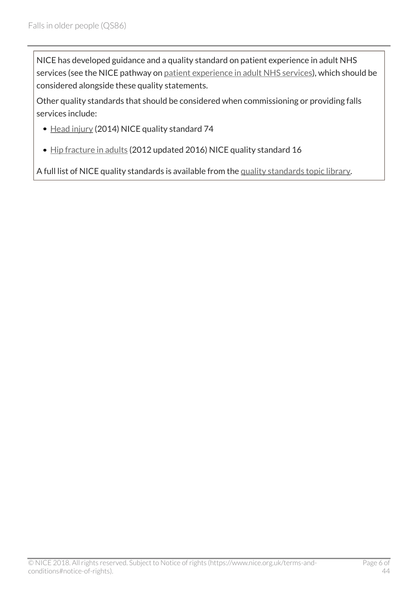NICE has developed guidance and a quality standard on patient experience in adult NHS services (see the NICE pathway on [patient experience in adult NHS services](http://pathways.nice.org.uk/pathways/patient-experience-in-adult-nhs-services)), which should be considered alongside these quality statements.

Other quality standards that should be considered when commissioning or providing falls services include:

- [Head injury](http://www.nice.org.uk/guidance/qs74) (2014) NICE quality standard 74
- [Hip fracture in adults](http://www.nice.org.uk/guidance/qs16) (2012 updated 2016) NICE quality standard 16

A full list of NICE quality standards is available from the [quality standards topic library.](http://www.nice.org.uk/Standards-and-Indicators/Developing-NICE-quality-standards-/Quality-standards-topic-library)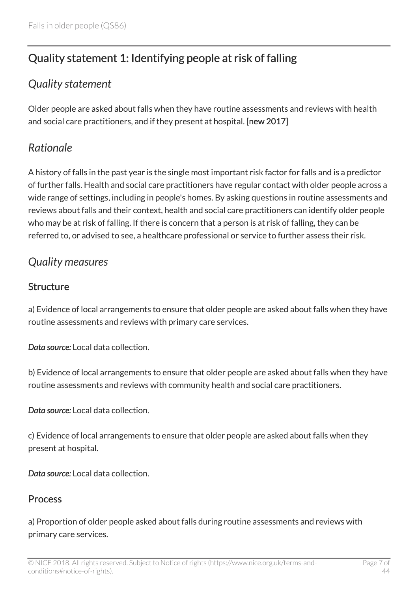# <span id="page-6-0"></span>Quality statement 1: Identifying people at risk of falling

# <span id="page-6-1"></span>*Quality statement*

Older people are asked about falls when they have routine assessments and reviews with health and social care practitioners, and if they present at hospital. [new 2017]

# <span id="page-6-2"></span>*Rationale*

A history of falls in the past year is the single most important risk factor for falls and is a predictor of further falls. Health and social care practitioners have regular contact with older people across a wide range of settings, including in people's homes. By asking questions in routine assessments and reviews about falls and their context, health and social care practitioners can identify older people who may be at risk of falling. If there is concern that a person is at risk of falling, they can be referred to, or advised to see, a healthcare professional or service to further assess their risk.

# <span id="page-6-3"></span>*Quality measures*

### **Structure**

a) Evidence of local arrangements to ensure that older people are asked about falls when they have routine assessments and reviews with primary care services.

*Data source:* Local data collection.

b) Evidence of local arrangements to ensure that older people are asked about falls when they have routine assessments and reviews with community health and social care practitioners.

*Data source:* Local data collection.

c) Evidence of local arrangements to ensure that older people are asked about falls when they present at hospital.

*Data source:* Local data collection.

### Process

a) Proportion of older people asked about falls during routine assessments and reviews with primary care services.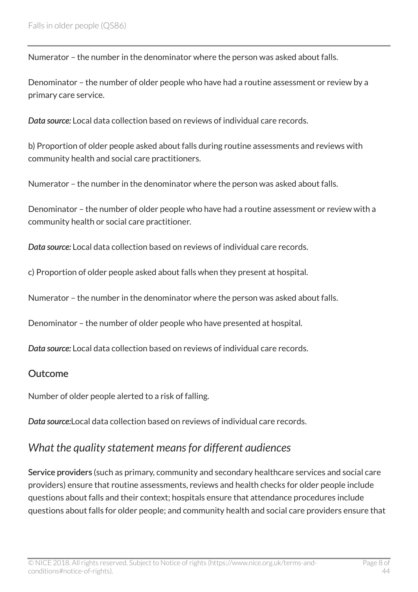Numerator – the number in the denominator where the person was asked about falls.

Denominator – the number of older people who have had a routine assessment or review by a primary care service.

*Data source:* Local data collection based on reviews of individual care records.

b) Proportion of older people asked about falls during routine assessments and reviews with community health and social care practitioners.

Numerator – the number in the denominator where the person was asked about falls.

Denominator – the number of older people who have had a routine assessment or review with a community health or social care practitioner.

*Data source:* Local data collection based on reviews of individual care records.

c) Proportion of older people asked about falls when they present at hospital.

Numerator – the number in the denominator where the person was asked about falls.

Denominator – the number of older people who have presented at hospital.

*Data source:* Local data collection based on reviews of individual care records.

#### Outcome

Number of older people alerted to a risk of falling.

*Data source:*Local data collection based on reviews of individual care records.

# <span id="page-7-0"></span>*What the quality statement means for different audiences*

Service providers (such as primary, community and secondary healthcare services and social care providers) ensure that routine assessments, reviews and health checks for older people include questions about falls and their context; hospitals ensure that attendance procedures include questions about falls for older people; and community health and social care providers ensure that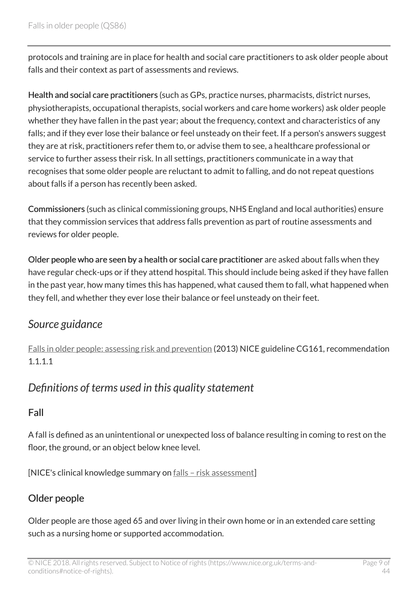protocols and training are in place for health and social care practitioners to ask older people about falls and their context as part of assessments and reviews.

Health and social care practitioners (such as GPs, practice nurses, pharmacists, district nurses, physiotherapists, occupational therapists, social workers and care home workers) ask older people whether they have fallen in the past year; about the frequency, context and characteristics of any falls; and if they ever lose their balance or feel unsteady on their feet. If a person's answers suggest they are at risk, practitioners refer them to, or advise them to see, a healthcare professional or service to further assess their risk. In all settings, practitioners communicate in a way that recognises that some older people are reluctant to admit to falling, and do not repeat questions about falls if a person has recently been asked.

Commissioners (such as clinical commissioning groups, NHS England and local authorities) ensure that they commission services that address falls prevention as part of routine assessments and reviews for older people.

Older people who are seen by a health or social care practitioner are asked about falls when they have regular check-ups or if they attend hospital. This should include being asked if they have fallen in the past year, how many times this has happened, what caused them to fall, what happened when they fell, and whether they ever lose their balance or feel unsteady on their feet.

# <span id="page-8-0"></span>*Source guidance*

[Falls in older people: assessing risk and prevention](http://www.nice.org.uk/guidance/cg161) (2013) NICE guideline CG161, recommendation 1.1.1.1

# <span id="page-8-1"></span>*Definitions of terms used in this quality statement*

### Fall

A fall is defined as an unintentional or unexpected loss of balance resulting in coming to rest on the floor, the ground, or an object below knee level.

[NICE's clinical knowledge summary on [falls – risk assessment\]](http://cks.nice.org.uk/falls-risk-assessment)

### Older people

Older people are those aged 65 and over living in their own home or in an extended care setting such as a nursing home or supported accommodation.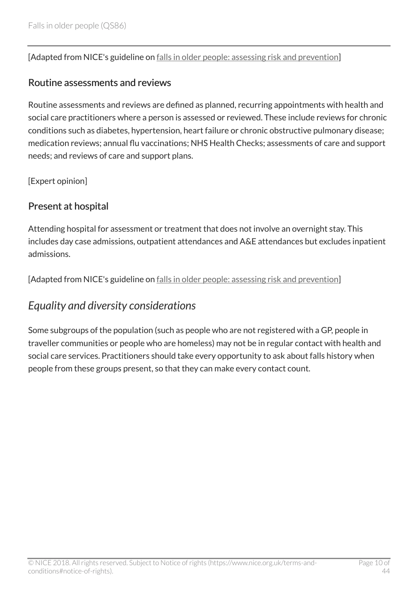[Adapted from NICE's guideline on [falls in older people: assessing risk and prevention\]](http://www.nice.org.uk/guidance/cg161)

#### Routine assessments and reviews

Routine assessments and reviews are defined as planned, recurring appointments with health and social care practitioners where a person is assessed or reviewed. These include reviews for chronic conditions such as diabetes, hypertension, heart failure or chronic obstructive pulmonary disease; medication reviews; annual flu vaccinations; NHS Health Checks; assessments of care and support needs; and reviews of care and support plans.

[Expert opinion]

#### Present at hospital

Attending hospital for assessment or treatment that does not involve an overnight stay. This includes day case admissions, outpatient attendances and A&E attendances but excludes inpatient admissions.

[Adapted from NICE's guideline on [falls in older people: assessing risk and prevention\]](http://www.nice.org.uk/guidance/cg161)

### <span id="page-9-0"></span>*Equality and diversity considerations*

Some subgroups of the population (such as people who are not registered with a GP, people in traveller communities or people who are homeless) may not be in regular contact with health and social care services. Practitioners should take every opportunity to ask about falls history when people from these groups present, so that they can make every contact count.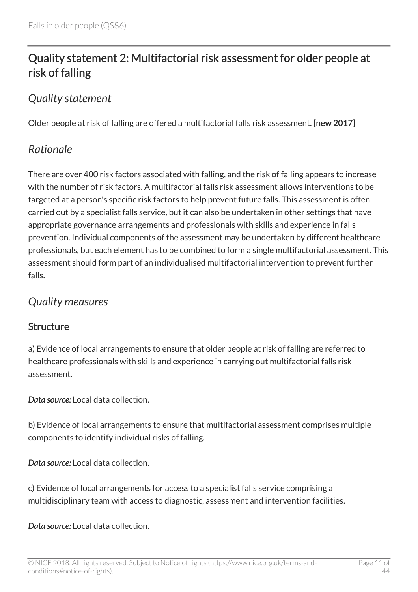# <span id="page-10-0"></span>Quality statement 2: Multifactorial risk assessment for older people at risk of falling

### <span id="page-10-1"></span>*Quality statement*

Older people at risk of falling are offered a multifactorial falls risk assessment. [new 2017]

# <span id="page-10-2"></span>*Rationale*

There are over 400 risk factors associated with falling, and the risk of falling appears to increase with the number of risk factors. A multifactorial falls risk assessment allows interventions to be targeted at a person's specific risk factors to help prevent future falls. This assessment is often carried out by a specialist falls service, but it can also be undertaken in other settings that have appropriate governance arrangements and professionals with skills and experience in falls prevention. Individual components of the assessment may be undertaken by different healthcare professionals, but each element has to be combined to form a single multifactorial assessment. This assessment should form part of an individualised multifactorial intervention to prevent further falls.

# <span id="page-10-3"></span>*Quality measures*

### **Structure**

a) Evidence of local arrangements to ensure that older people at risk of falling are referred to healthcare professionals with skills and experience in carrying out multifactorial falls risk assessment.

*Data source:* Local data collection.

b) Evidence of local arrangements to ensure that multifactorial assessment comprises multiple components to identify individual risks of falling.

*Data source:* Local data collection.

c) Evidence of local arrangements for access to a specialist falls service comprising a multidisciplinary team with access to diagnostic, assessment and intervention facilities.

*Data source:* Local data collection.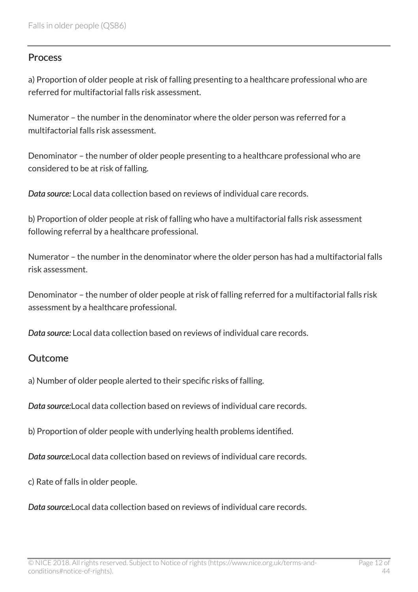#### Process

a) Proportion of older people at risk of falling presenting to a healthcare professional who are referred for multifactorial falls risk assessment.

Numerator – the number in the denominator where the older person was referred for a multifactorial falls risk assessment.

Denominator – the number of older people presenting to a healthcare professional who are considered to be at risk of falling.

*Data source:* Local data collection based on reviews of individual care records.

b) Proportion of older people at risk of falling who have a multifactorial falls risk assessment following referral by a healthcare professional.

Numerator – the number in the denominator where the older person has had a multifactorial falls risk assessment.

Denominator – the number of older people at risk of falling referred for a multifactorial falls risk assessment by a healthcare professional.

*Data source:* Local data collection based on reviews of individual care records.

#### Outcome

a) Number of older people alerted to their specific risks of falling.

*Data source:*Local data collection based on reviews of individual care records.

b) Proportion of older people with underlying health problems identified.

*Data source:*Local data collection based on reviews of individual care records.

c) Rate of falls in older people.

*Data source:*Local data collection based on reviews of individual care records.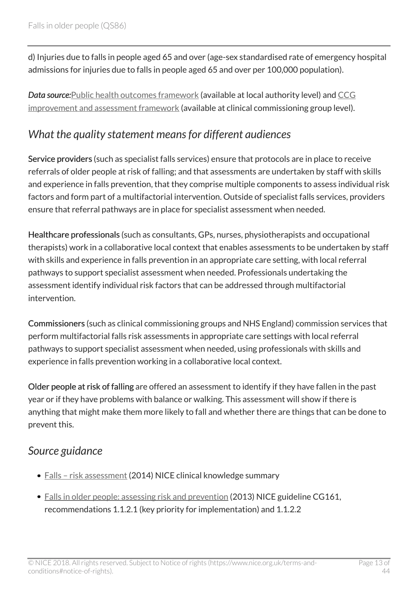d) Injuries due to falls in people aged 65 and over (age-sex standardised rate of emergency hospital admissions for injuries due to falls in people aged 65 and over per 100,000 population).

*Data source:*[Public health outcomes framework](http://www.phoutcomes.info/) (available at local authority level) and [CCG](https://www.england.nhs.uk/commissioning/ccg-auth/) [improvement and assessment framework](https://www.england.nhs.uk/commissioning/ccg-auth/) (available at clinical commissioning group level).

### <span id="page-12-0"></span>*What the quality statement means for different audiences*

Service providers (such as specialist falls services) ensure that protocols are in place to receive referrals of older people at risk of falling; and that assessments are undertaken by staff with skills and experience in falls prevention, that they comprise multiple components to assess individual risk factors and form part of a multifactorial intervention. Outside of specialist falls services, providers ensure that referral pathways are in place for specialist assessment when needed.

Healthcare professionals (such as consultants, GPs, nurses, physiotherapists and occupational therapists) work in a collaborative local context that enables assessments to be undertaken by staff with skills and experience in falls prevention in an appropriate care setting, with local referral pathways to support specialist assessment when needed. Professionals undertaking the assessment identify individual risk factors that can be addressed through multifactorial intervention.

Commissioners (such as clinical commissioning groups and NHS England) commission services that perform multifactorial falls risk assessments in appropriate care settings with local referral pathways to support specialist assessment when needed, using professionals with skills and experience in falls prevention working in a collaborative local context.

Older people at risk of falling are offered an assessment to identify if they have fallen in the past year or if they have problems with balance or walking. This assessment will show if there is anything that might make them more likely to fall and whether there are things that can be done to prevent this.

# <span id="page-12-1"></span>*Source guidance*

- [Falls risk assessment](http://cks.nice.org.uk/falls-risk-assessment) (2014) NICE clinical knowledge summary
- [Falls in older people: assessing risk and prevention](http://www.nice.org.uk/guidance/cg161) (2013) NICE guideline CG161, recommendations 1.1.2.1 (key priority for implementation) and 1.1.2.2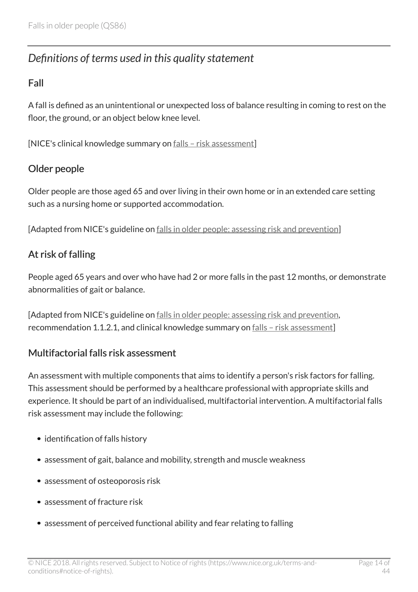# <span id="page-13-0"></span>*Definitions of terms used in this quality statement*

### Fall

A fall is defined as an unintentional or unexpected loss of balance resulting in coming to rest on the floor, the ground, or an object below knee level.

[NICE's clinical knowledge summary on [falls – risk assessment\]](http://cks.nice.org.uk/falls-risk-assessment)

### Older people

Older people are those aged 65 and over living in their own home or in an extended care setting such as a nursing home or supported accommodation.

[Adapted from NICE's guideline on [falls in older people: assessing risk and prevention\]](http://www.nice.org.uk/guidance/cg161)

### At risk of falling

People aged 65 years and over who have had 2 or more falls in the past 12 months, or demonstrate abnormalities of gait or balance.

[Adapted from NICE's guideline on [falls in older people: assessing risk and prevention,](http://www.nice.org.uk/guidance/cg161) recommendation 1.1.2.1, and clinical knowledge summary on [falls – risk assessment\]](http://cks.nice.org.uk/falls-risk-assessment)

### Multifactorial falls risk assessment

An assessment with multiple components that aims to identify a person's risk factors for falling. This assessment should be performed by a healthcare professional with appropriate skills and experience. It should be part of an individualised, multifactorial intervention. A multifactorial falls risk assessment may include the following:

- identification of falls history
- assessment of gait, balance and mobility, strength and muscle weakness
- assessment of osteoporosis risk
- assessment of fracture risk
- assessment of perceived functional ability and fear relating to falling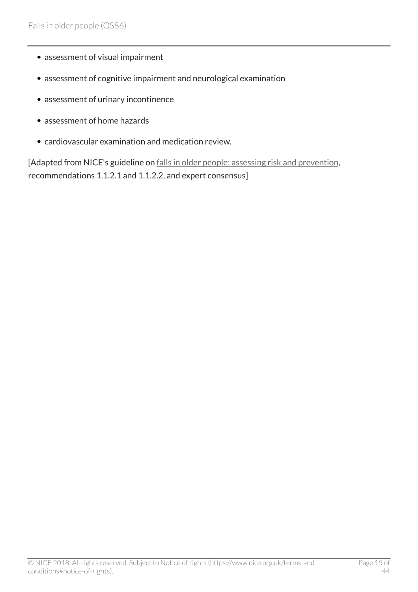- assessment of visual impairment
- assessment of cognitive impairment and neurological examination
- assessment of urinary incontinence
- assessment of home hazards
- cardiovascular examination and medication review.

[Adapted from NICE's guideline on [falls in older people: assessing risk and prevention,](http://www.nice.org.uk/guidance/cg161) recommendations 1.1.2.1 and 1.1.2.2, and expert consensus]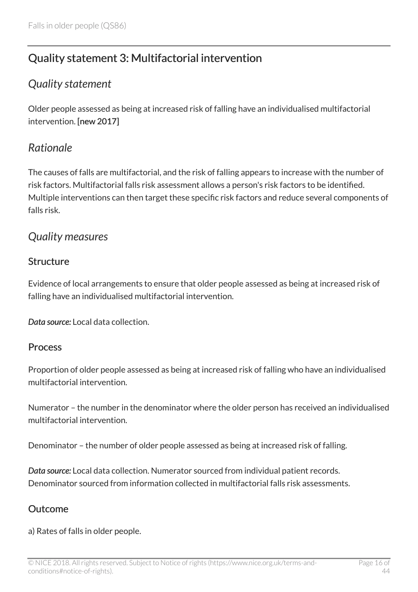# <span id="page-15-0"></span>Quality statement 3: Multifactorial intervention

# <span id="page-15-1"></span>*Quality statement*

Older people assessed as being at increased risk of falling have an individualised multifactorial intervention. [new 2017]

# <span id="page-15-2"></span>*Rationale*

The causes of falls are multifactorial, and the risk of falling appears to increase with the number of risk factors. Multifactorial falls risk assessment allows a person's risk factors to be identified. Multiple interventions can then target these specific risk factors and reduce several components of falls risk.

# <span id="page-15-3"></span>*Quality measures*

### Structure

Evidence of local arrangements to ensure that older people assessed as being at increased risk of falling have an individualised multifactorial intervention.

*Data source:* Local data collection.

#### **Process**

Proportion of older people assessed as being at increased risk of falling who have an individualised multifactorial intervention.

Numerator – the number in the denominator where the older person has received an individualised multifactorial intervention.

Denominator – the number of older people assessed as being at increased risk of falling.

*Data source:* Local data collection. Numerator sourced from individual patient records. Denominator sourced from information collected in multifactorial falls risk assessments.

### Outcome

a) Rates of falls in older people.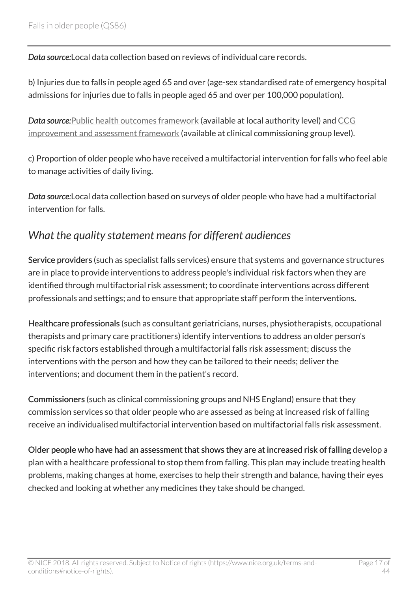*Data source:*Local data collection based on reviews of individual care records.

b) Injuries due to falls in people aged 65 and over (age-sex standardised rate of emergency hospital admissions for injuries due to falls in people aged 65 and over per 100,000 population).

*Data source:*[Public health outcomes framework](http://www.phoutcomes.info/) (available at local authority level) and [CCG](https://www.england.nhs.uk/commissioning/ccg-auth/) [improvement and assessment framework](https://www.england.nhs.uk/commissioning/ccg-auth/) (available at clinical commissioning group level).

c) Proportion of older people who have received a multifactorial intervention for falls who feel able to manage activities of daily living.

*Data source:*Local data collection based on surveys of older people who have had a multifactorial intervention for falls.

# <span id="page-16-0"></span>*What the quality statement means for different audiences*

Service providers (such as specialist falls services) ensure that systems and governance structures are in place to provide interventions to address people's individual risk factors when they are identified through multifactorial risk assessment; to coordinate interventions across different professionals and settings; and to ensure that appropriate staff perform the interventions.

Healthcare professionals (such as consultant geriatricians, nurses, physiotherapists, occupational therapists and primary care practitioners) identify interventions to address an older person's specific risk factors established through a multifactorial falls risk assessment; discuss the interventions with the person and how they can be tailored to their needs; deliver the interventions; and document them in the patient's record.

Commissioners (such as clinical commissioning groups and NHS England) ensure that they commission services so that older people who are assessed as being at increased risk of falling receive an individualised multifactorial intervention based on multifactorial falls risk assessment.

Older people who have had an assessment that shows they are at increased risk of falling develop a plan with a healthcare professional to stop them from falling. This plan may include treating health problems, making changes at home, exercises to help their strength and balance, having their eyes checked and looking at whether any medicines they take should be changed.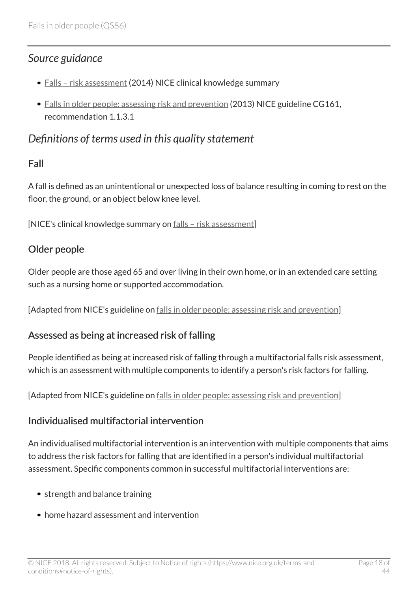### <span id="page-17-0"></span>*Source guidance*

- [Falls risk assessment](http://cks.nice.org.uk/falls-risk-assessment) (2014) NICE clinical knowledge summary
- [Falls in older people: assessing risk and prevention](http://www.nice.org.uk/guidance/cg161) (2013) NICE guideline CG161, recommendation 1.1.3.1

### <span id="page-17-1"></span>*Definitions of terms used in this quality statement*

### Fall

A fall is defined as an unintentional or unexpected loss of balance resulting in coming to rest on the floor, the ground, or an object below knee level.

[NICE's clinical knowledge summary on [falls – risk assessment\]](http://cks.nice.org.uk/falls-risk-assessment)

#### Older people

Older people are those aged 65 and over living in their own home, or in an extended care setting such as a nursing home or supported accommodation.

[Adapted from NICE's guideline on [falls in older people: assessing risk and prevention\]](http://www.nice.org.uk/guidance/cg161)

#### Assessed as being at increased risk of falling

People identified as being at increased risk of falling through a multifactorial falls risk assessment, which is an assessment with multiple components to identify a person's risk factors for falling.

[Adapted from NICE's guideline on [falls in older people: assessing risk and prevention\]](http://www.nice.org.uk/guidance/cg161)

### Individualised multifactorial intervention

An individualised multifactorial intervention is an intervention with multiple components that aims to address the risk factors for falling that are identified in a person's individual multifactorial assessment. Specific components common in successful multifactorial interventions are:

- strength and balance training
- home hazard assessment and intervention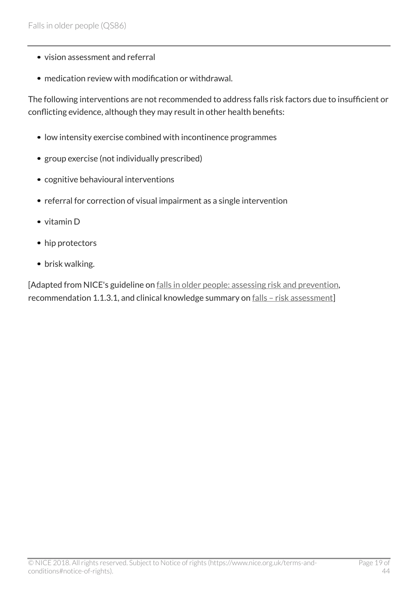- vision assessment and referral
- medication review with modification or withdrawal.

The following interventions are not recommended to address falls risk factors due to insufficient or conflicting evidence, although they may result in other health benefits:

- low intensity exercise combined with incontinence programmes
- group exercise (not individually prescribed)
- cognitive behavioural interventions
- referral for correction of visual impairment as a single intervention
- vitamin D
- hip protectors
- brisk walking.

[Adapted from NICE's guideline on [falls in older people: assessing risk and prevention,](http://www.nice.org.uk/guidance/cg161) recommendation 1.1.3.1, and clinical knowledge summary on falls - risk assessment]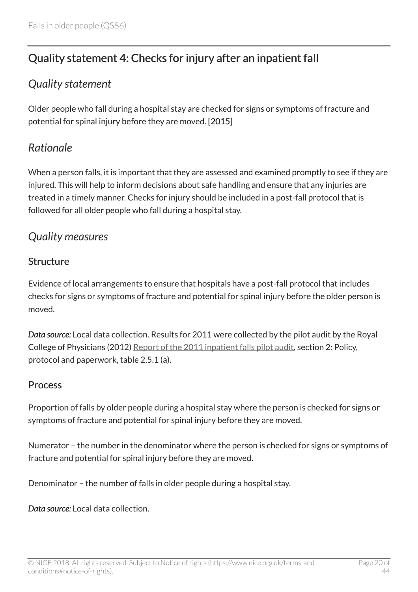# <span id="page-19-0"></span>Quality statement 4: Checks for injury after an inpatient fall

# <span id="page-19-1"></span>*Quality statement*

Older people who fall during a hospital stay are checked for signs or symptoms of fracture and potential for spinal injury before they are moved. [2015]

# <span id="page-19-2"></span>*Rationale*

When a person falls, it is important that they are assessed and examined promptly to see if they are injured. This will help to inform decisions about safe handling and ensure that any injuries are treated in a timely manner. Checks for injury should be included in a post-fall protocol that is followed for all older people who fall during a hospital stay.

# <span id="page-19-3"></span>*Quality measures*

### **Structure**

Evidence of local arrangements to ensure that hospitals have a post-fall protocol that includes checks for signs or symptoms of fracture and potential for spinal injury before the older person is moved.

*Data source:* Local data collection. Results for 2011 were collected by the pilot audit by the Royal College of Physicians (2012) [Report of the 2011 inpatient falls pilot audit](https://www.rcplondon.ac.uk/projects/outputs/report-2011-inpatient-falls-pilot-audit), section 2: Policy, protocol and paperwork, table 2.5.1 (a).

#### Process

Proportion of falls by older people during a hospital stay where the person is checked for signs or symptoms of fracture and potential for spinal injury before they are moved.

Numerator – the number in the denominator where the person is checked for signs or symptoms of fracture and potential for spinal injury before they are moved.

Denominator – the number of falls in older people during a hospital stay.

*Data source:* Local data collection.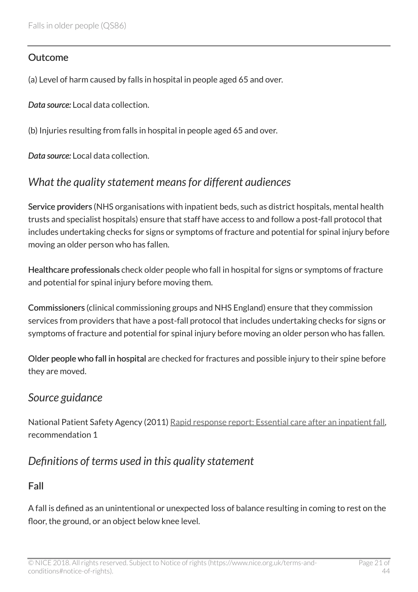#### **Outcome**

(a) Level of harm caused by falls in hospital in people aged 65 and over.

*Data source:* Local data collection.

(b) Injuries resulting from falls in hospital in people aged 65 and over.

*Data source:* Local data collection.

# <span id="page-20-0"></span>*What the quality statement means for different audiences*

Service providers (NHS organisations with inpatient beds, such as district hospitals, mental health trusts and specialist hospitals) ensure that staff have access to and follow a post-fall protocol that includes undertaking checks for signs or symptoms of fracture and potential for spinal injury before moving an older person who has fallen.

Healthcare professionals check older people who fall in hospital for signs or symptoms of fracture and potential for spinal injury before moving them.

Commissioners (clinical commissioning groups and NHS England) ensure that they commission services from providers that have a post-fall protocol that includes undertaking checks for signs or symptoms of fracture and potential for spinal injury before moving an older person who has fallen.

Older people who fall in hospital are checked for fractures and possible injury to their spine before they are moved.

### <span id="page-20-1"></span>*Source guidance*

National Patient Safety Agency (2011) [Rapid response report: Essential care after an inpatient fall,](http://www.nrls.npsa.nhs.uk/resources/?EntryId45=94033) recommendation 1

# <span id="page-20-2"></span>*Definitions of terms used in this quality statement*

### Fall

A fall is defined as an unintentional or unexpected loss of balance resulting in coming to rest on the floor, the ground, or an object below knee level.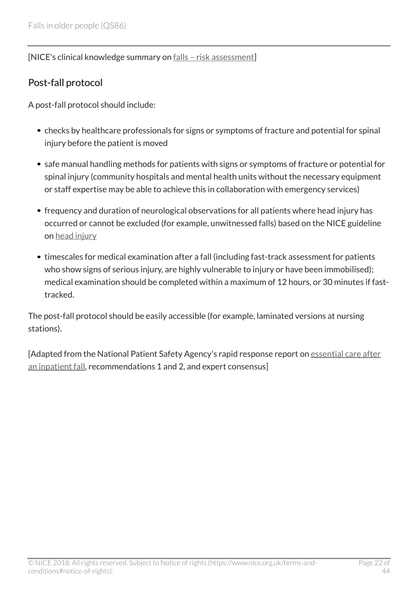#### [NICE's clinical knowledge summary on [falls – risk assessment\]](http://cks.nice.org.uk/falls-risk-assessment)

### Post-fall protocol

A post-fall protocol should include:

- checks by healthcare professionals for signs or symptoms of fracture and potential for spinal injury before the patient is moved
- safe manual handling methods for patients with signs or symptoms of fracture or potential for spinal injury (community hospitals and mental health units without the necessary equipment or staff expertise may be able to achieve this in collaboration with emergency services)
- frequency and duration of neurological observations for all patients where head injury has occurred or cannot be excluded (for example, unwitnessed falls) based on the NICE guideline on [head injury](http://www.nice.org.uk/guidance/cg176)
- timescales for medical examination after a fall (including fast-track assessment for patients who show signs of serious injury, are highly vulnerable to injury or have been immobilised); medical examination should be completed within a maximum of 12 hours, or 30 minutes if fasttracked.

The post-fall protocol should be easily accessible (for example, laminated versions at nursing stations).

[Adapted from the National Patient Safety Agency's rapid response report on [essential care after](http://www.nrls.npsa.nhs.uk/resources/?EntryId45=94033) [an inpatient fall](http://www.nrls.npsa.nhs.uk/resources/?EntryId45=94033), recommendations 1 and 2, and expert consensus]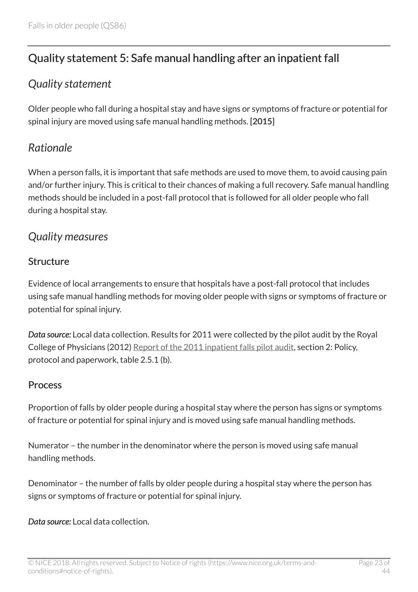# <span id="page-22-0"></span>Quality statement 5: Safe manual handling after an inpatient fall

# <span id="page-22-1"></span>*Quality statement*

Older people who fall during a hospital stay and have signs or symptoms of fracture or potential for spinal injury are moved using safe manual handling methods. [2015]

# <span id="page-22-2"></span>*Rationale*

When a person falls, it is important that safe methods are used to move them, to avoid causing pain and/or further injury. This is critical to their chances of making a full recovery. Safe manual handling methods should be included in a post-fall protocol that is followed for all older people who fall during a hospital stay.

# <span id="page-22-3"></span>*Quality measures*

#### **Structure**

Evidence of local arrangements to ensure that hospitals have a post-fall protocol that includes using safe manual handling methods for moving older people with signs or symptoms of fracture or potential for spinal injury.

*Data source:* Local data collection. Results for 2011 were collected by the pilot audit by the Royal College of Physicians (2012) [Report of the 2011 inpatient falls pilot audit](https://www.rcplondon.ac.uk/projects/outputs/report-2011-inpatient-falls-pilot-audit), section 2: Policy, protocol and paperwork, table 2.5.1 (b).

#### Process

Proportion of falls by older people during a hospital stay where the person has signs or symptoms of fracture or potential for spinal injury and is moved using safe manual handling methods.

Numerator – the number in the denominator where the person is moved using safe manual handling methods.

Denominator – the number of falls by older people during a hospital stay where the person has signs or symptoms of fracture or potential for spinal injury.

*Data source:* Local data collection.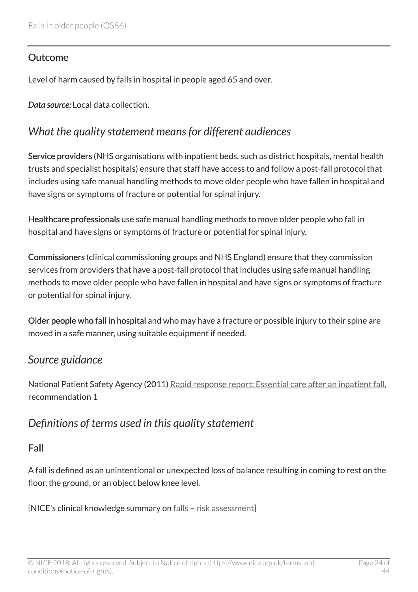### **Outcome**

Level of harm caused by falls in hospital in people aged 65 and over.

*Data source:* Local data collection.

# <span id="page-23-0"></span>*What the quality statement means for different audiences*

Service providers (NHS organisations with inpatient beds, such as district hospitals, mental health trusts and specialist hospitals) ensure that staff have access to and follow a post-fall protocol that includes using safe manual handling methods to move older people who have fallen in hospital and have signs or symptoms of fracture or potential for spinal injury.

Healthcare professionals use safe manual handling methods to move older people who fall in hospital and have signs or symptoms of fracture or potential for spinal injury.

Commissioners (clinical commissioning groups and NHS England) ensure that they commission services from providers that have a post-fall protocol that includes using safe manual handling methods to move older people who have fallen in hospital and have signs or symptoms of fracture or potential for spinal injury.

Older people who fall in hospital and who may have a fracture or possible injury to their spine are moved in a safe manner, using suitable equipment if needed.

### <span id="page-23-1"></span>*Source guidance*

National Patient Safety Agency (2011) [Rapid response report: Essential care after an inpatient fall,](http://www.nrls.npsa.nhs.uk/resources/?EntryId45=94033) recommendation 1

# <span id="page-23-2"></span>*Definitions of terms used in this quality statement*

### Fall

A fall is defined as an unintentional or unexpected loss of balance resulting in coming to rest on the floor, the ground, or an object below knee level.

[NICE's clinical knowledge summary on [falls – risk assessment\]](http://cks.nice.org.uk/falls-risk-assessment)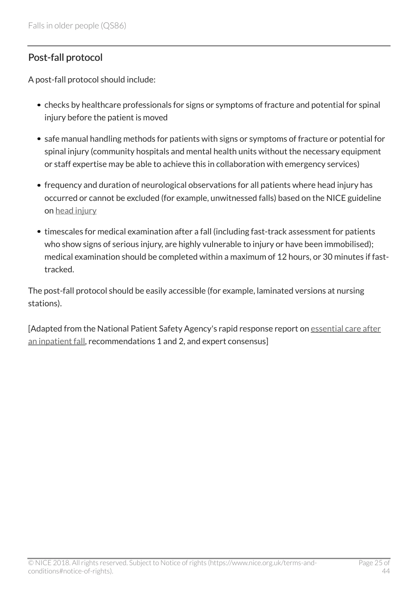### Post-fall protocol

A post-fall protocol should include:

- checks by healthcare professionals for signs or symptoms of fracture and potential for spinal injury before the patient is moved
- safe manual handling methods for patients with signs or symptoms of fracture or potential for spinal injury (community hospitals and mental health units without the necessary equipment or staff expertise may be able to achieve this in collaboration with emergency services)
- frequency and duration of neurological observations for all patients where head injury has occurred or cannot be excluded (for example, unwitnessed falls) based on the NICE guideline on [head injury](http://www.nice.org.uk/guidance/cg176)
- timescales for medical examination after a fall (including fast-track assessment for patients who show signs of serious injury, are highly vulnerable to injury or have been immobilised); medical examination should be completed within a maximum of 12 hours, or 30 minutes if fasttracked.

The post-fall protocol should be easily accessible (for example, laminated versions at nursing stations).

[Adapted from the National Patient Safety Agency's rapid response report on [essential care after](http://www.nrls.npsa.nhs.uk/resources/?EntryId45=94033) [an inpatient fall](http://www.nrls.npsa.nhs.uk/resources/?EntryId45=94033), recommendations 1 and 2, and expert consensus]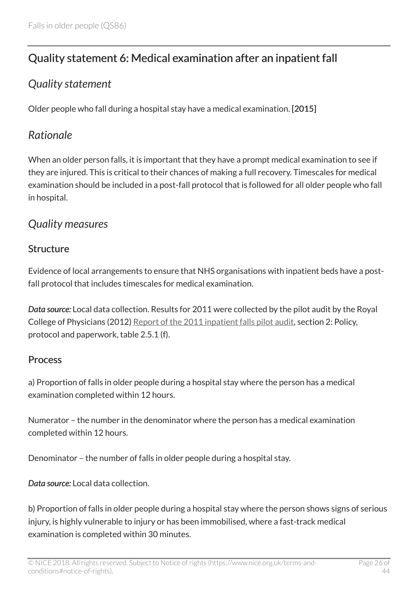# <span id="page-25-0"></span>Quality statement 6: Medical examination after an inpatient fall

# <span id="page-25-1"></span>*Quality statement*

Older people who fall during a hospital stay have a medical examination. [2015]

# <span id="page-25-2"></span>*Rationale*

When an older person falls, it is important that they have a prompt medical examination to see if they are injured. This is critical to their chances of making a full recovery. Timescales for medical examination should be included in a post-fall protocol that is followed for all older people who fall in hospital.

# <span id="page-25-3"></span>*Quality measures*

### **Structure**

Evidence of local arrangements to ensure that NHS organisations with inpatient beds have a postfall protocol that includes timescales for medical examination.

*Data source:* Local data collection. Results for 2011 were collected by the pilot audit by the Royal College of Physicians (2012) [Report of the 2011 inpatient falls pilot audit](https://www.rcplondon.ac.uk/projects/outputs/report-2011-inpatient-falls-pilot-audit), section 2: Policy, protocol and paperwork, table 2.5.1 (f).

### Process

a) Proportion of falls in older people during a hospital stay where the person has a medical examination completed within 12 hours.

Numerator – the number in the denominator where the person has a medical examination completed within 12 hours.

Denominator – the number of falls in older people during a hospital stay.

*Data source:* Local data collection.

b) Proportion of falls in older people during a hospital stay where the person shows signs of serious injury, is highly vulnerable to injury or has been immobilised, where a fast-track medical examination is completed within 30 minutes.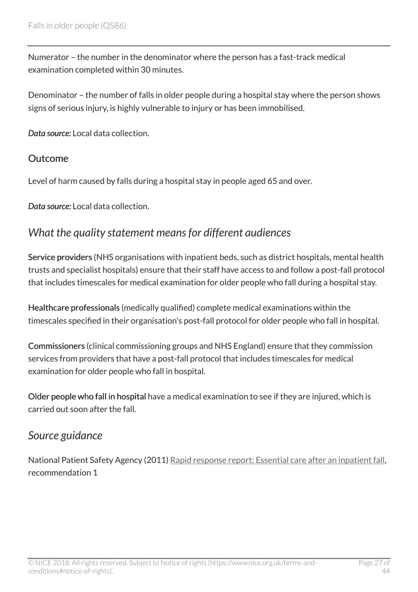Numerator – the number in the denominator where the person has a fast-track medical examination completed within 30 minutes.

Denominator – the number of falls in older people during a hospital stay where the person shows signs of serious injury, is highly vulnerable to injury or has been immobilised.

*Data source:* Local data collection.

#### **Outcome**

Level of harm caused by falls during a hospital stay in people aged 65 and over.

*Data source:* Local data collection.

### <span id="page-26-0"></span>*What the quality statement means for different audiences*

Service providers (NHS organisations with inpatient beds, such as district hospitals, mental health trusts and specialist hospitals) ensure that their staff have access to and follow a post-fall protocol that includes timescales for medical examination for older people who fall during a hospital stay.

Healthcare professionals (medically qualified) complete medical examinations within the timescales specified in their organisation's post-fall protocol for older people who fall in hospital.

Commissioners (clinical commissioning groups and NHS England) ensure that they commission services from providers that have a post-fall protocol that includes timescales for medical examination for older people who fall in hospital.

Older people who fall in hospital have a medical examination to see if they are injured, which is carried out soon after the fall.

### <span id="page-26-1"></span>*Source guidance*

National Patient Safety Agency (2011) [Rapid response report: Essential care after an inpatient fall,](http://www.nrls.npsa.nhs.uk/resources/?EntryId45=94033) recommendation 1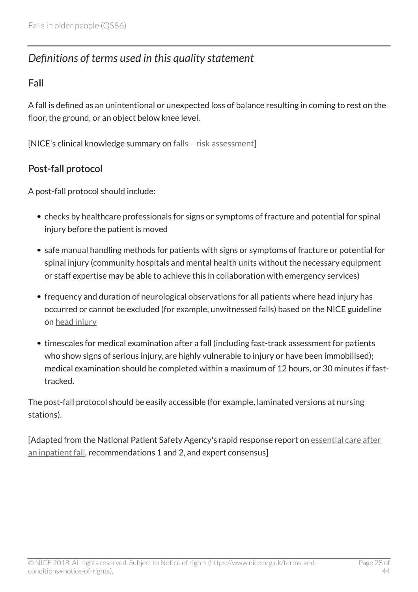# <span id="page-27-0"></span>*Definitions of terms used in this quality statement*

### Fall

A fall is defined as an unintentional or unexpected loss of balance resulting in coming to rest on the floor, the ground, or an object below knee level.

[NICE's clinical knowledge summary on [falls – risk assessment\]](http://cks.nice.org.uk/falls-risk-assessment)

### Post-fall protocol

A post-fall protocol should include:

- checks by healthcare professionals for signs or symptoms of fracture and potential for spinal injury before the patient is moved
- safe manual handling methods for patients with signs or symptoms of fracture or potential for spinal injury (community hospitals and mental health units without the necessary equipment or staff expertise may be able to achieve this in collaboration with emergency services)
- frequency and duration of neurological observations for all patients where head injury has occurred or cannot be excluded (for example, unwitnessed falls) based on the NICE guideline on [head injury](http://www.nice.org.uk/guidance/cg176)
- timescales for medical examination after a fall (including fast-track assessment for patients who show signs of serious injury, are highly vulnerable to injury or have been immobilised); medical examination should be completed within a maximum of 12 hours, or 30 minutes if fasttracked.

The post-fall protocol should be easily accessible (for example, laminated versions at nursing stations).

[Adapted from the National Patient Safety Agency's rapid response report on [essential care after](http://www.nrls.npsa.nhs.uk/resources/?EntryId45=94033) [an inpatient fall](http://www.nrls.npsa.nhs.uk/resources/?EntryId45=94033), recommendations 1 and 2, and expert consensus]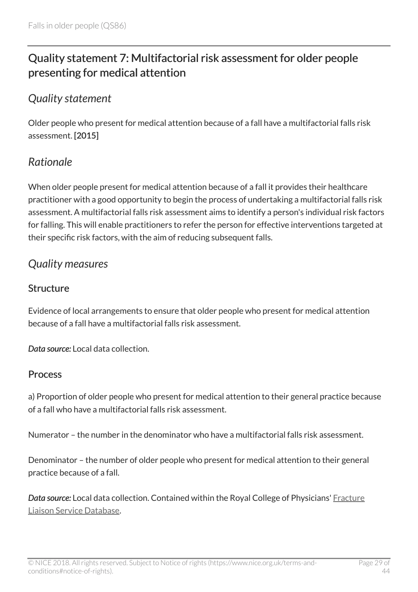# <span id="page-28-0"></span>Quality statement 7: Multifactorial risk assessment for older people presenting for medical attention

# <span id="page-28-1"></span>*Quality statement*

Older people who present for medical attention because of a fall have a multifactorial falls risk assessment. [2015]

# <span id="page-28-2"></span>*Rationale*

When older people present for medical attention because of a fall it provides their healthcare practitioner with a good opportunity to begin the process of undertaking a multifactorial falls risk assessment. A multifactorial falls risk assessment aims to identify a person's individual risk factors for falling. This will enable practitioners to refer the person for effective interventions targeted at their specific risk factors, with the aim of reducing subsequent falls.

### <span id="page-28-3"></span>*Quality measures*

### **Structure**

Evidence of local arrangements to ensure that older people who present for medical attention because of a fall have a multifactorial falls risk assessment.

*Data source:* Local data collection.

### Process

a) Proportion of older people who present for medical attention to their general practice because of a fall who have a multifactorial falls risk assessment.

Numerator – the number in the denominator who have a multifactorial falls risk assessment.

Denominator – the number of older people who present for medical attention to their general practice because of a fall.

*Data source:* Local data collection. Contained within the Royal College of Physicians' [Fracture](https://www.rcplondon.ac.uk/projects/fracture-liaison-service-database-fls-db) [Liaison Service Database](https://www.rcplondon.ac.uk/projects/fracture-liaison-service-database-fls-db).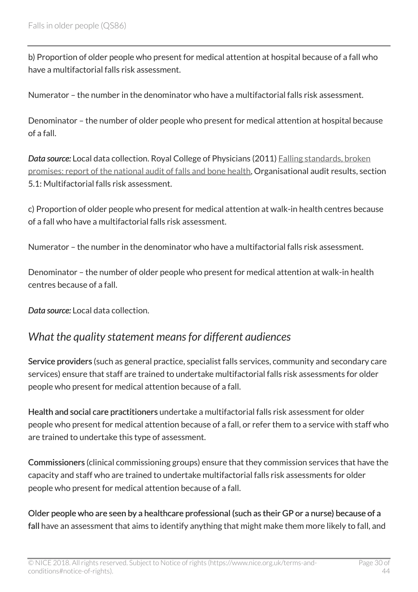b) Proportion of older people who present for medical attention at hospital because of a fall who have a multifactorial falls risk assessment.

Numerator – the number in the denominator who have a multifactorial falls risk assessment.

Denominator – the number of older people who present for medical attention at hospital because of a fall.

*Data source:* Local data collection. Royal College of Physicians (2011) [Falling standards, broken](https://www.rcplondon.ac.uk/projects/outputs/falling-standards-broken-promises-report-national-audit-falls-and-bone-health) [promises: report of the national audit of falls and bone health,](https://www.rcplondon.ac.uk/projects/outputs/falling-standards-broken-promises-report-national-audit-falls-and-bone-health) Organisational audit results, section 5.1: Multifactorial falls risk assessment.

c) Proportion of older people who present for medical attention at walk-in health centres because of a fall who have a multifactorial falls risk assessment.

Numerator – the number in the denominator who have a multifactorial falls risk assessment.

Denominator – the number of older people who present for medical attention at walk-in health centres because of a fall.

*Data source:* Local data collection.

### <span id="page-29-0"></span>*What the quality statement means for different audiences*

Service providers (such as general practice, specialist falls services, community and secondary care services) ensure that staff are trained to undertake multifactorial falls risk assessments for older people who present for medical attention because of a fall.

Health and social care practitioners undertake a multifactorial falls risk assessment for older people who present for medical attention because of a fall, or refer them to a service with staff who are trained to undertake this type of assessment.

Commissioners (clinical commissioning groups) ensure that they commission services that have the capacity and staff who are trained to undertake multifactorial falls risk assessments for older people who present for medical attention because of a fall.

Older people who are seen by a healthcare professional (such as their GP or a nurse) because of a fall have an assessment that aims to identify anything that might make them more likely to fall, and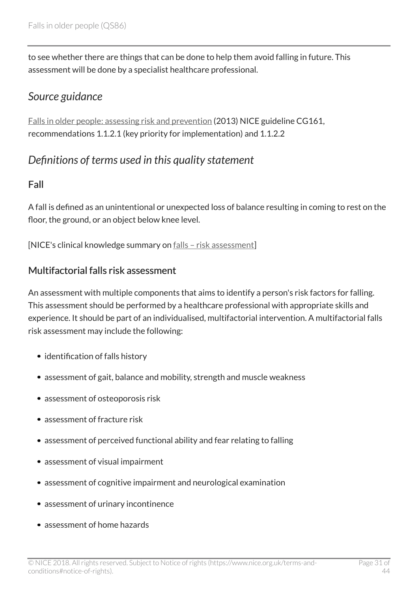to see whether there are things that can be done to help them avoid falling in future. This assessment will be done by a specialist healthcare professional.

## <span id="page-30-0"></span>*Source guidance*

[Falls in older people: assessing risk and prevention](http://www.nice.org.uk/guidance/cg161) (2013) NICE guideline CG161, recommendations 1.1.2.1 (key priority for implementation) and 1.1.2.2

# <span id="page-30-1"></span>*Definitions of terms used in this quality statement*

### Fall

A fall is defined as an unintentional or unexpected loss of balance resulting in coming to rest on the floor, the ground, or an object below knee level.

[NICE's clinical knowledge summary on [falls – risk assessment\]](http://cks.nice.org.uk/falls-risk-assessment)

#### Multifactorial falls risk assessment

An assessment with multiple components that aims to identify a person's risk factors for falling. This assessment should be performed by a healthcare professional with appropriate skills and experience. It should be part of an individualised, multifactorial intervention. A multifactorial falls risk assessment may include the following:

- identification of falls history
- assessment of gait, balance and mobility, strength and muscle weakness
- assessment of osteoporosis risk
- assessment of fracture risk
- assessment of perceived functional ability and fear relating to falling
- assessment of visual impairment
- assessment of cognitive impairment and neurological examination
- assessment of urinary incontinence
- assessment of home hazards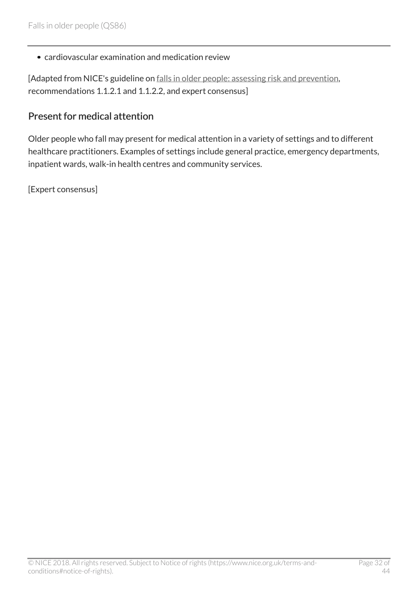cardiovascular examination and medication review

[Adapted from NICE's guideline on [falls in older people: assessing risk and prevention,](http://www.nice.org.uk/guidance/cg161) recommendations 1.1.2.1 and 1.1.2.2, and expert consensus]

#### Present for medical attention

Older people who fall may present for medical attention in a variety of settings and to different healthcare practitioners. Examples of settings include general practice, emergency departments, inpatient wards, walk-in health centres and community services.

[Expert consensus]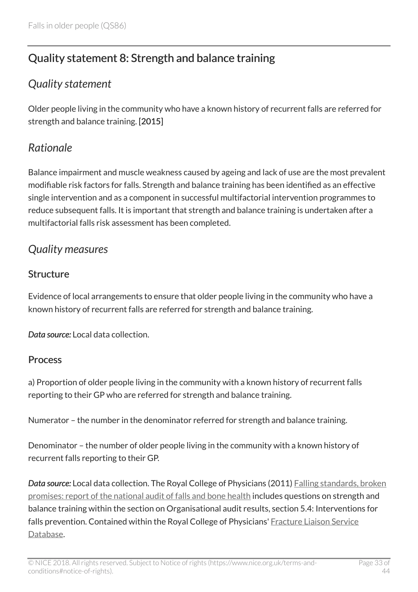# <span id="page-32-0"></span>Quality statement 8: Strength and balance training

# <span id="page-32-1"></span>*Quality statement*

Older people living in the community who have a known history of recurrent falls are referred for strength and balance training. [2015]

# <span id="page-32-2"></span>*Rationale*

Balance impairment and muscle weakness caused by ageing and lack of use are the most prevalent modifiable risk factors for falls. Strength and balance training has been identified as an effective single intervention and as a component in successful multifactorial intervention programmes to reduce subsequent falls. It is important that strength and balance training is undertaken after a multifactorial falls risk assessment has been completed.

# <span id="page-32-3"></span>*Quality measures*

### **Structure**

Evidence of local arrangements to ensure that older people living in the community who have a known history of recurrent falls are referred for strength and balance training.

*Data source:* Local data collection.

#### Process

a) Proportion of older people living in the community with a known history of recurrent falls reporting to their GP who are referred for strength and balance training.

Numerator – the number in the denominator referred for strength and balance training.

Denominator – the number of older people living in the community with a known history of recurrent falls reporting to their GP.

Data source: Local data collection. The Royal College of Physicians (2011) [Falling standards, broken](https://www.rcplondon.ac.uk/projects/outputs/falling-standards-broken-promises-report-national-audit-falls-and-bone-health) [promises: report of the national audit of falls and bone health](https://www.rcplondon.ac.uk/projects/outputs/falling-standards-broken-promises-report-national-audit-falls-and-bone-health) includes questions on strength and balance training within the section on Organisational audit results, section 5.4: Interventions for falls prevention. Contained within the Royal College of Physicians' [Fracture Liaison Service](https://www.rcplondon.ac.uk/projects/fracture-liaison-service-database-fls-db) [Database.](https://www.rcplondon.ac.uk/projects/fracture-liaison-service-database-fls-db)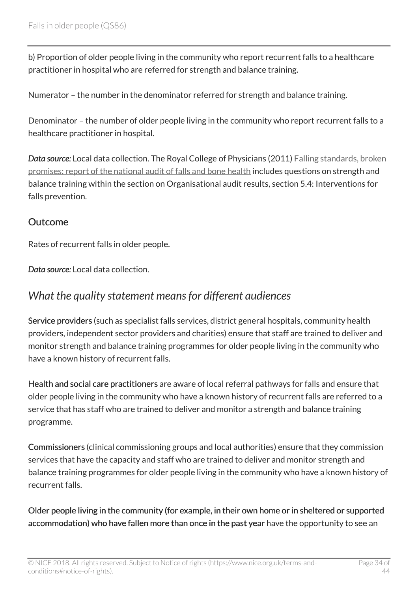b) Proportion of older people living in the community who report recurrent falls to a healthcare practitioner in hospital who are referred for strength and balance training.

Numerator – the number in the denominator referred for strength and balance training.

Denominator – the number of older people living in the community who report recurrent falls to a healthcare practitioner in hospital.

*Data source:* Local data collection. The Royal College of Physicians (2011) [Falling standards, broken](https://www.rcplondon.ac.uk/projects/outputs/falling-standards-broken-promises-report-national-audit-falls-and-bone-health) [promises: report of the national audit of falls and bone health](https://www.rcplondon.ac.uk/projects/outputs/falling-standards-broken-promises-report-national-audit-falls-and-bone-health) includes questions on strength and balance training within the section on Organisational audit results, section 5.4: Interventions for falls prevention.

#### **Outcome**

Rates of recurrent falls in older people.

*Data source:* Local data collection.

### <span id="page-33-0"></span>*What the quality statement means for different audiences*

Service providers (such as specialist falls services, district general hospitals, community health providers, independent sector providers and charities) ensure that staff are trained to deliver and monitor strength and balance training programmes for older people living in the community who have a known history of recurrent falls.

Health and social care practitioners are aware of local referral pathways for falls and ensure that older people living in the community who have a known history of recurrent falls are referred to a service that has staff who are trained to deliver and monitor a strength and balance training programme.

Commissioners (clinical commissioning groups and local authorities) ensure that they commission services that have the capacity and staff who are trained to deliver and monitor strength and balance training programmes for older people living in the community who have a known history of recurrent falls.

Older people living in the community (for example, in their own home or in sheltered or supported accommodation) who have fallen more than once in the past year have the opportunity to see an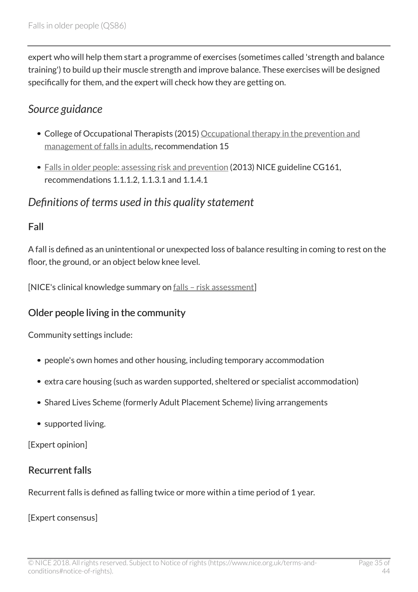expert who will help them start a programme of exercises (sometimes called 'strength and balance training') to build up their muscle strength and improve balance. These exercises will be designed specifically for them, and the expert will check how they are getting on.

### <span id="page-34-0"></span>*Source guidance*

- College of Occupational Therapists (2015) [Occupational therapy in the prevention and](https://www.cot.co.uk/publication/z-listing/occupational-therapy-prevention-and-management-falls-adults-practice-guideline) [management of falls in adults](https://www.cot.co.uk/publication/z-listing/occupational-therapy-prevention-and-management-falls-adults-practice-guideline), recommendation 15
- [Falls in older people: assessing risk and prevention](http://www.nice.org.uk/guidance/cg161) (2013) NICE guideline CG161, recommendations 1.1.1.2, 1.1.3.1 and 1.1.4.1

# <span id="page-34-1"></span>*Definitions of terms used in this quality statement*

### Fall

A fall is defined as an unintentional or unexpected loss of balance resulting in coming to rest on the floor, the ground, or an object below knee level.

[NICE's clinical knowledge summary on [falls – risk assessment\]](http://cks.nice.org.uk/falls-risk-assessment)

### Older people living in the community

Community settings include:

- people's own homes and other housing, including temporary accommodation
- extra care housing (such as warden supported, sheltered or specialist accommodation)
- Shared Lives Scheme (formerly Adult Placement Scheme) living arrangements
- supported living.

[Expert opinion]

#### Recurrent falls

Recurrent falls is defined as falling twice or more within a time period of 1 year.

[Expert consensus]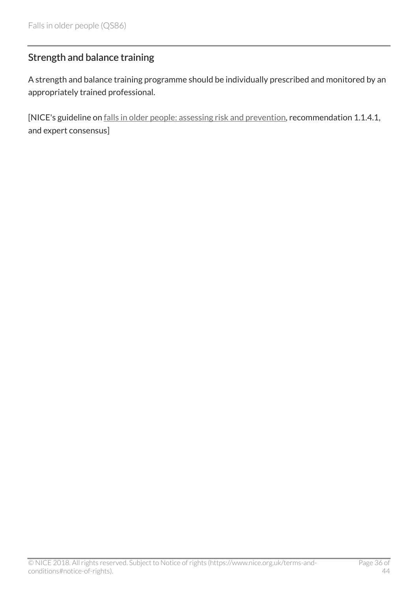### Strength and balance training

A strength and balance training programme should be individually prescribed and monitored by an appropriately trained professional.

[NICE's guideline on [falls in older people: assessing risk and prevention,](http://www.nice.org.uk/guidance/cg161) recommendation 1.1.4.1, and expert consensus]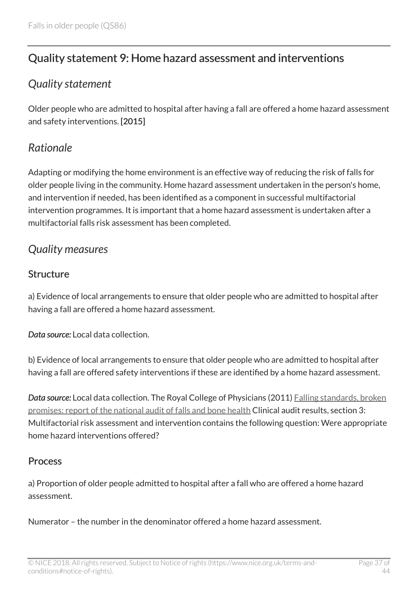# <span id="page-36-0"></span>Quality statement 9: Home hazard assessment and interventions

## <span id="page-36-1"></span>*Quality statement*

Older people who are admitted to hospital after having a fall are offered a home hazard assessment and safety interventions. [2015]

## <span id="page-36-2"></span>*Rationale*

Adapting or modifying the home environment is an effective way of reducing the risk of falls for older people living in the community. Home hazard assessment undertaken in the person's home, and intervention if needed, has been identified as a component in successful multifactorial intervention programmes. It is important that a home hazard assessment is undertaken after a multifactorial falls risk assessment has been completed.

### <span id="page-36-3"></span>*Quality measures*

#### **Structure**

a) Evidence of local arrangements to ensure that older people who are admitted to hospital after having a fall are offered a home hazard assessment.

*Data source:* Local data collection.

b) Evidence of local arrangements to ensure that older people who are admitted to hospital after having a fall are offered safety interventions if these are identified by a home hazard assessment.

*Data source:* Local data collection. The Royal College of Physicians (2011) [Falling standards, broken](https://www.rcplondon.ac.uk/projects/outputs/falling-standards-broken-promises-report-national-audit-falls-and-bone-health) [promises: report of the national audit of falls and bone health](https://www.rcplondon.ac.uk/projects/outputs/falling-standards-broken-promises-report-national-audit-falls-and-bone-health) Clinical audit results, section 3: Multifactorial risk assessment and intervention contains the following question: Were appropriate home hazard interventions offered?

### Process

a) Proportion of older people admitted to hospital after a fall who are offered a home hazard assessment.

Numerator – the number in the denominator offered a home hazard assessment.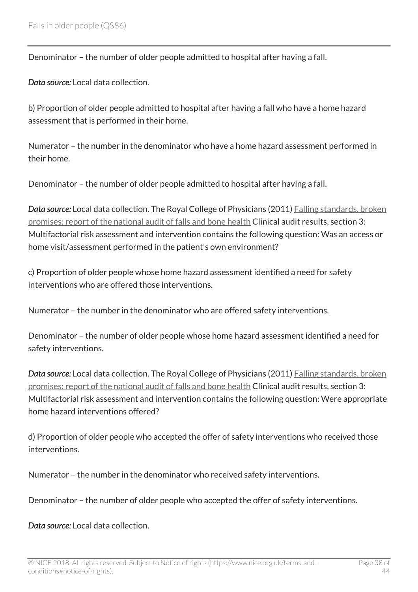Denominator – the number of older people admitted to hospital after having a fall.

*Data source:* Local data collection.

b) Proportion of older people admitted to hospital after having a fall who have a home hazard assessment that is performed in their home.

Numerator – the number in the denominator who have a home hazard assessment performed in their home.

Denominator – the number of older people admitted to hospital after having a fall.

*Data source:* Local data collection. The Royal College of Physicians (2011) [Falling standards, broken](https://www.rcplondon.ac.uk/projects/outputs/falling-standards-broken-promises-report-national-audit-falls-and-bone-health) [promises: report of the national audit of falls and bone health](https://www.rcplondon.ac.uk/projects/outputs/falling-standards-broken-promises-report-national-audit-falls-and-bone-health) Clinical audit results, section 3: Multifactorial risk assessment and intervention contains the following question: Was an access or home visit/assessment performed in the patient's own environment?

c) Proportion of older people whose home hazard assessment identified a need for safety interventions who are offered those interventions.

Numerator – the number in the denominator who are offered safety interventions.

Denominator – the number of older people whose home hazard assessment identified a need for safety interventions.

*Data source:* Local data collection. The Royal College of Physicians (2011) [Falling standards, broken](https://www.rcplondon.ac.uk/projects/outputs/falling-standards-broken-promises-report-national-audit-falls-and-bone-health) [promises: report of the national audit of falls and bone health](https://www.rcplondon.ac.uk/projects/outputs/falling-standards-broken-promises-report-national-audit-falls-and-bone-health) Clinical audit results, section 3: Multifactorial risk assessment and intervention contains the following question: Were appropriate home hazard interventions offered?

d) Proportion of older people who accepted the offer of safety interventions who received those interventions.

Numerator – the number in the denominator who received safety interventions.

Denominator – the number of older people who accepted the offer of safety interventions.

*Data source:* Local data collection.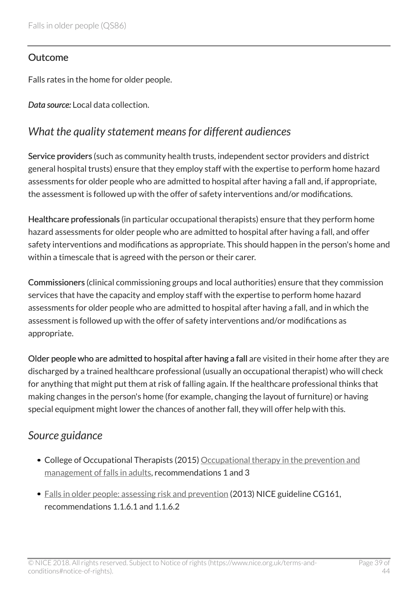#### **Outcome**

Falls rates in the home for older people.

*Data source:* Local data collection.

# <span id="page-38-0"></span>*What the quality statement means for different audiences*

Service providers (such as community health trusts, independent sector providers and district general hospital trusts) ensure that they employ staff with the expertise to perform home hazard assessments for older people who are admitted to hospital after having a fall and, if appropriate, the assessment is followed up with the offer of safety interventions and/or modifications.

Healthcare professionals (in particular occupational therapists) ensure that they perform home hazard assessments for older people who are admitted to hospital after having a fall, and offer safety interventions and modifications as appropriate. This should happen in the person's home and within a timescale that is agreed with the person or their carer.

Commissioners (clinical commissioning groups and local authorities) ensure that they commission services that have the capacity and employ staff with the expertise to perform home hazard assessments for older people who are admitted to hospital after having a fall, and in which the assessment is followed up with the offer of safety interventions and/or modifications as appropriate.

Older people who are admitted to hospital after having a fall are visited in their home after they are discharged by a trained healthcare professional (usually an occupational therapist) who will check for anything that might put them at risk of falling again. If the healthcare professional thinks that making changes in the person's home (for example, changing the layout of furniture) or having special equipment might lower the chances of another fall, they will offer help with this.

# <span id="page-38-1"></span>*Source guidance*

- College of Occupational Therapists (2015) [Occupational therapy in the prevention and](https://www.cot.co.uk/publication/z-listing/occupational-therapy-prevention-and-management-falls-adults-practice-guideline) [management of falls in adults](https://www.cot.co.uk/publication/z-listing/occupational-therapy-prevention-and-management-falls-adults-practice-guideline), recommendations 1 and 3
- [Falls in older people: assessing risk and prevention](http://www.nice.org.uk/guidance/cg161) (2013) NICE guideline CG161, recommendations 1.1.6.1 and 1.1.6.2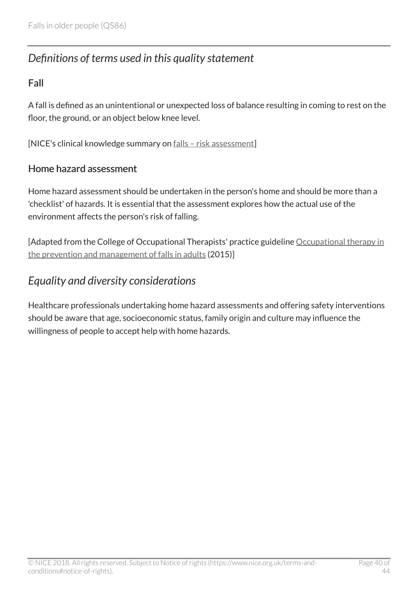# <span id="page-39-0"></span>*Definitions of terms used in this quality statement*

### Fall

A fall is defined as an unintentional or unexpected loss of balance resulting in coming to rest on the floor, the ground, or an object below knee level.

[NICE's clinical knowledge summary on [falls – risk assessment\]](http://cks.nice.org.uk/falls-risk-assessment)

### Home hazard assessment

Home hazard assessment should be undertaken in the person's home and should be more than a 'checklist' of hazards. It is essential that the assessment explores how the actual use of the environment affects the person's risk of falling.

[Adapted from the College of Occupational Therapists' practice guideline [Occupational therapy in](https://www.cot.co.uk/publication/z-listing/occupational-therapy-prevention-and-management-falls-adults-practice-guideline) [the prevention and management of falls in adults](https://www.cot.co.uk/publication/z-listing/occupational-therapy-prevention-and-management-falls-adults-practice-guideline) (2015)]

# <span id="page-39-1"></span>*Equality and diversity considerations*

Healthcare professionals undertaking home hazard assessments and offering safety interventions should be aware that age, socioeconomic status, family origin and culture may influence the willingness of people to accept help with home hazards.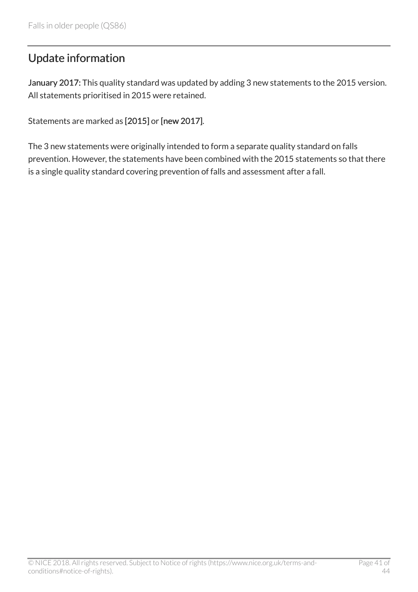# <span id="page-40-0"></span>Update information

January 2017: This quality standard was updated by adding 3 new statements to the 2015 version. All statements prioritised in 2015 were retained.

Statements are marked as [2015] or [new 2017].

The 3 new statements were originally intended to form a separate quality standard on falls prevention. However, the statements have been combined with the 2015 statements so that there is a single quality standard covering prevention of falls and assessment after a fall.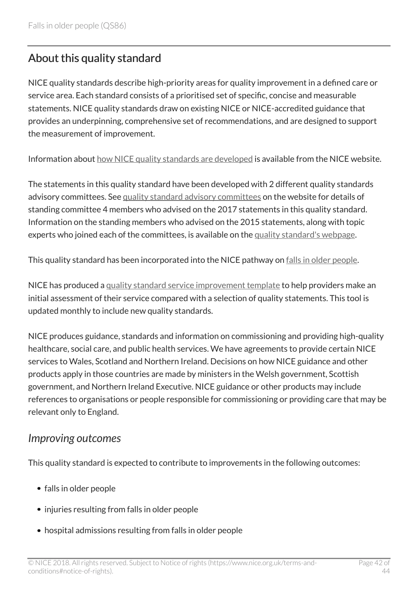# <span id="page-41-0"></span>About this quality standard

NICE quality standards describe high-priority areas for quality improvement in a defined care or service area. Each standard consists of a prioritised set of specific, concise and measurable statements. NICE quality standards draw on existing NICE or NICE-accredited guidance that provides an underpinning, comprehensive set of recommendations, and are designed to support the measurement of improvement.

Information about [how NICE quality standards are developed](https://www.nice.org.uk/standards-and-indicators/timeline-developing-quality-standards) is available from the NICE website.

The statements in this quality standard have been developed with 2 different quality standards advisory committees. See [quality standard advisory committees](http://www.nice.org.uk/Get-Involved/Meetings-in-public/Quality-Standards-Advisory-Committee) on the website for details of standing committee 4 members who advised on the 2017 statements in this quality standard. Information on the standing members who advised on the 2015 statements, along with topic experts who joined each of the committees, is available on the [quality standard's webpage](https://www.nice.org.uk/guidance/QS86/documents).

This quality standard has been incorporated into the NICE pathway on [falls in older people.](https://pathways.nice.org.uk/pathways/falls-in-older-people)

NICE has produced a [quality standard service improvement template](http://www.nice.org.uk/guidance/qs86/resources) to help providers make an initial assessment of their service compared with a selection of quality statements. This tool is updated monthly to include new quality standards.

NICE produces guidance, standards and information on commissioning and providing high-quality healthcare, social care, and public health services. We have agreements to provide certain NICE services to Wales, Scotland and Northern Ireland. Decisions on how NICE guidance and other products apply in those countries are made by ministers in the Welsh government, Scottish government, and Northern Ireland Executive. NICE guidance or other products may include references to organisations or people responsible for commissioning or providing care that may be relevant only to England.

### <span id="page-41-1"></span>*Improving outcomes*

This quality standard is expected to contribute to improvements in the following outcomes:

- falls in older people
- injuries resulting from falls in older people
- hospital admissions resulting from falls in older people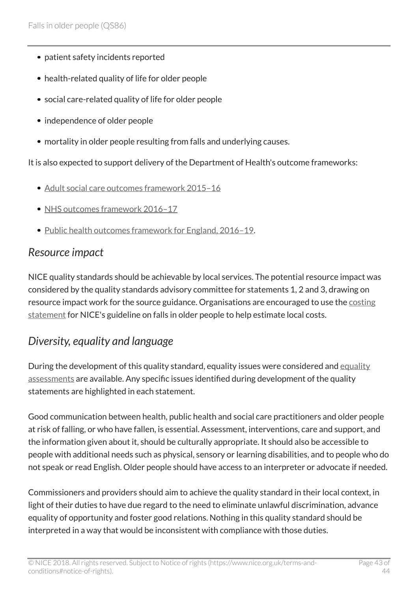- patient safety incidents reported
- health-related quality of life for older people
- social care-related quality of life for older people
- independence of older people
- mortality in older people resulting from falls and underlying causes.

It is also expected to support delivery of the Department of Health's outcome frameworks:

- [Adult social care outcomes framework 2015–16](https://www.gov.uk/government/publications/adult-social-care-outcomes-framework-ascof-2015-to-2016)
- NHS outcomes framework 2016-17
- [Public health outcomes framework for England, 2016–19](https://www.gov.uk/government/publications/public-health-outcomes-framework-2016-to-2019).

### <span id="page-42-0"></span>*Resource impact*

NICE quality standards should be achievable by local services. The potential resource impact was considered by the quality standards advisory committee for statements 1, 2 and 3, drawing on resource impact work for the source guidance. Organisations are encouraged to use the [costing](http://www.nice.org.uk/guidance/cg161/resources) [statement](http://www.nice.org.uk/guidance/cg161/resources) for NICE's guideline on falls in older people to help estimate local costs.

# <span id="page-42-1"></span>*Diversity, equality and language*

During the development of this quality standard, [equality](http://www.nice.org.uk/Guidance/qs86/Documents) issues were considered and equality [assessments](http://www.nice.org.uk/Guidance/qs86/Documents) are available. Any specific issues identified during development of the quality statements are highlighted in each statement.

Good communication between health, public health and social care practitioners and older people at risk of falling, or who have fallen, is essential. Assessment, interventions, care and support, and the information given about it, should be culturally appropriate. It should also be accessible to people with additional needs such as physical, sensory or learning disabilities, and to people who do not speak or read English. Older people should have access to an interpreter or advocate if needed.

Commissioners and providers should aim to achieve the quality standard in their local context, in light of their duties to have due regard to the need to eliminate unlawful discrimination, advance equality of opportunity and foster good relations. Nothing in this quality standard should be interpreted in a way that would be inconsistent with compliance with those duties.